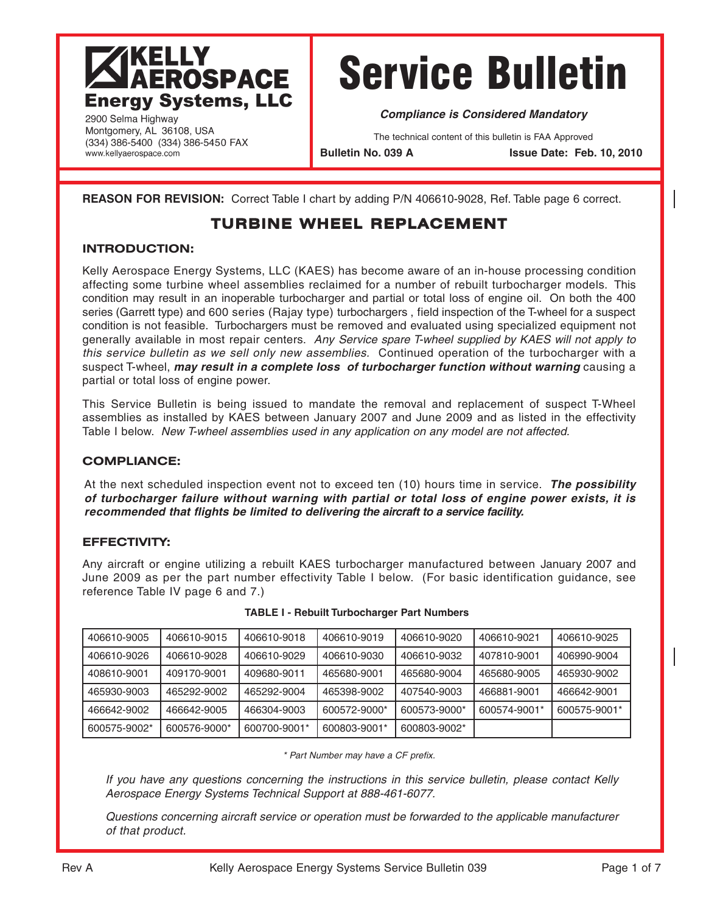# **SARANA SANA SEKARA SEKARA SEKARA SEKARA SEKARA SEKARA SEKARA SEKARA SEKARA SEKARA SEKARA SEKARA SE Energy Systems, LLC**

Service Bulletin

**Compliance is Considered Mandatory**

The technical content of this bulletin is FAA Approved

**Bulletin No. 039 A Issue Date: Feb. 10, 2010**

**REASON FOR REVISION:** Correct Table I chart by adding P/N 406610-9028, Ref. Table page 6 correct.

# **TURBINE WHEEL REPLACEMENT**

#### **INTRODUCTION:**

2900 Selma Highway Montgomery, AL 36108, USA (334) 386-5400 (334) 386-5450 FAX

www.kellyaerospace.com

Kelly Aerospace Energy Systems, LLC (KAES) has become aware of an in-house processing condition affecting some turbine wheel assemblies reclaimed for a number of rebuilt turbocharger models. This condition may result in an inoperable turbocharger and partial or total loss of engine oil. On both the 400 series (Garrett type) and 600 series (Rajay type) turbochargers , field inspection of the T-wheel for a suspect condition is not feasible. Turbochargers must be removed and evaluated using specialized equipment not generally available in most repair centers. Any Service spare T-wheel supplied by KAES will not apply to this service bulletin as we sell only new assemblies. Continued operation of the turbocharger with a suspect T-wheel, **may result in a complete loss of turbocharger function without warning** causing a partial or total loss of engine power.

This Service Bulletin is being issued to mandate the removal and replacement of suspect T-Wheel assemblies as installed by KAES between January 2007 and June 2009 and as listed in the effectivity Table I below. New T-wheel assemblies used in any application on any model are not affected.

#### **COMPLIANCE:**

At the next scheduled inspection event not to exceed ten (10) hours time in service. **The possibility of turbocharger failure without warning with partial or total loss of engine power exists, it is recommended that flights be limited to delivering the aircraft to a service facility.**

#### **EFFECTIVITY:**

Any aircraft or engine utilizing a rebuilt KAES turbocharger manufactured between January 2007 and June 2009 as per the part number effectivity Table I below. (For basic identification guidance, see reference Table IV page 6 and 7.)

| 406610-9005  | 406610-9015  | 406610-9018  | 406610-9019  | 406610-9020  | 406610-9021  | 406610-9025  |
|--------------|--------------|--------------|--------------|--------------|--------------|--------------|
| 406610-9026  | 406610-9028  | 406610-9029  | 406610-9030  | 406610-9032  | 407810-9001  | 406990-9004  |
| 408610-9001  | 409170-9001  | 409680-9011  | 465680-9001  | 465680-9004  | 465680-9005  | 465930-9002  |
| 465930-9003  | 465292-9002  | 465292-9004  | 465398-9002  | 407540-9003  | 466881-9001  | 466642-9001  |
| 466642-9002  | 466642-9005  | 466304-9003  | 600572-9000* | 600573-9000* | 600574-9001* | 600575-9001* |
| 600575-9002* | 600576-9000* | 600700-9001* | 600803-9001* | 600803-9002* |              |              |

| TABLE I - Rebuilt Turbocharger Part Numbers |  |  |
|---------------------------------------------|--|--|
|---------------------------------------------|--|--|

\* Part Number may have a CF prefix.

If you have any questions concerning the instructions in this service bulletin, please contact Kelly Aerospace Energy Systems Technical Support at 888-461-6077.

Questions concerning aircraft service or operation must be forwarded to the applicable manufacturer of that product.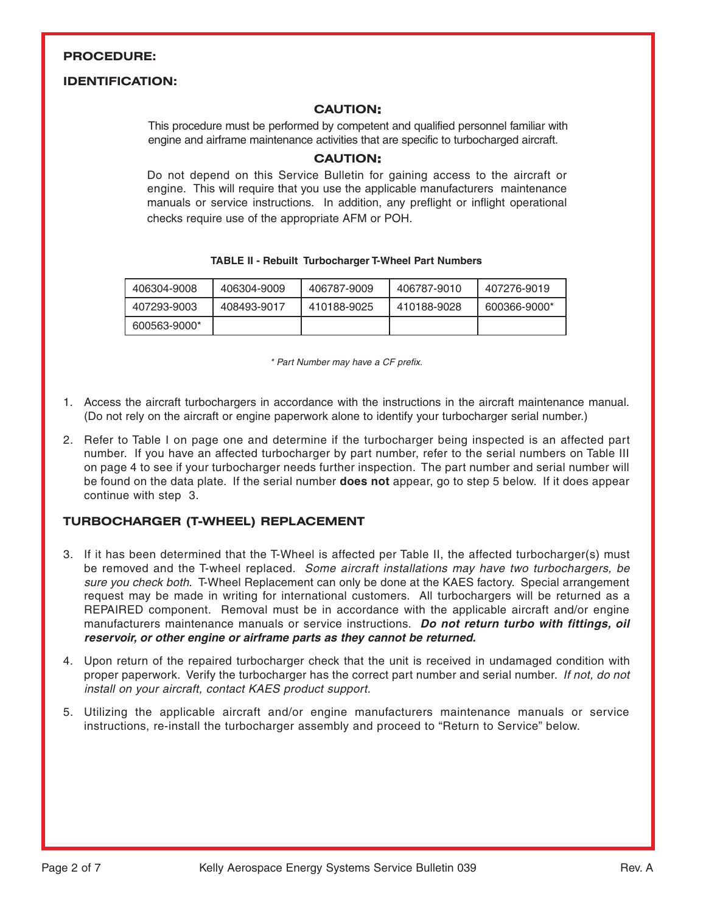#### **PROCEDURE:**

#### **IDENTIFICATION:**

#### **CAUTION:**

This procedure must be performed by competent and qualified personnel familiar with engine and airframe maintenance activities that are specific to turbocharged aircraft.

#### **CAUTION:**

Do not depend on this Service Bulletin for gaining access to the aircraft or engine. This will require that you use the applicable manufacturers maintenance manuals or service instructions. In addition, any preflight or inflight operational checks require use of the appropriate AFM or POH.

#### **TABLE II - Rebuilt Turbocharger T-Wheel Part Numbers**

| 406304-9008  | 406304-9009 | 406787-9009 | 406787-9010 | 407276-9019  |
|--------------|-------------|-------------|-------------|--------------|
| 407293-9003  | 408493-9017 | 410188-9025 | 410188-9028 | 600366-9000* |
| 600563-9000* |             |             |             |              |

\* Part Number may have a CF prefix.

- 1. Access the aircraft turbochargers in accordance with the instructions in the aircraft maintenance manual. (Do not rely on the aircraft or engine paperwork alone to identify your turbocharger serial number.)
- 2. Refer to Table I on page one and determine if the turbocharger being inspected is an affected part number. If you have an affected turbocharger by part number, refer to the serial numbers on Table III on page 4 to see if your turbocharger needs further inspection. The part number and serial number will be found on the data plate. If the serial number **does not** appear, go to step 5 below. If it does appear continue with step 3.

#### **TURBOCHARGER (T-WHEEL) REPLACEMENT**

- 3. If it has been determined that the T-Wheel is affected per Table II, the affected turbocharger(s) must be removed and the T-wheel replaced. Some aircraft installations may have two turbochargers, be sure you check both. T-Wheel Replacement can only be done at the KAES factory. Special arrangement request may be made in writing for international customers. All turbochargers will be returned as a REPAIRED component. Removal must be in accordance with the applicable aircraft and/or engine manufacturers maintenance manuals or service instructions. **Do not return turbo with fittings, oil reservoir, or other engine or airframe parts as they cannot be returned.**
- 4. Upon return of the repaired turbocharger check that the unit is received in undamaged condition with proper paperwork. Verify the turbocharger has the correct part number and serial number. If not, do not install on your aircraft, contact KAES product support.
- 5. Utilizing the applicable aircraft and/or engine manufacturers maintenance manuals or service instructions, re-install the turbocharger assembly and proceed to "Return to Service" below.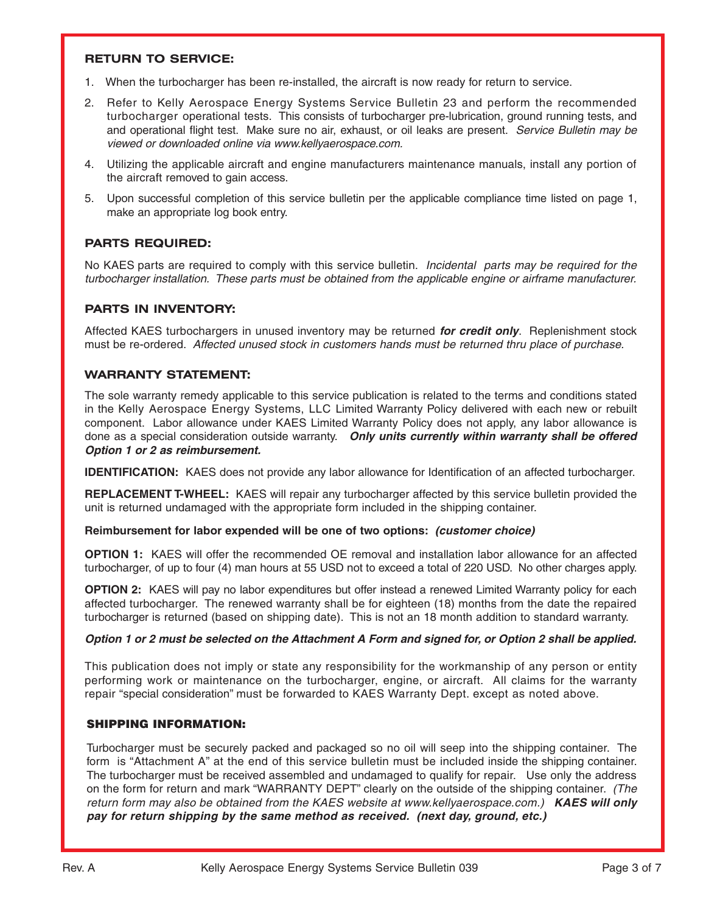#### **RETURN TO SERVICE:**

- 1. When the turbocharger has been re-installed, the aircraft is now ready for return to service.
- 2. Refer to Kelly Aerospace Energy Systems Service Bulletin 23 and perform the recommended turbocharger operational tests. This consists of turbocharger pre-lubrication, ground running tests, and and operational flight test. Make sure no air, exhaust, or oil leaks are present. Service Bulletin may be viewed or downloaded online via www.kellyaerospace.com.
- 4. Utilizing the applicable aircraft and engine manufacturers maintenance manuals, install any portion of the aircraft removed to gain access.
- 5. Upon successful completion of this service bulletin per the applicable compliance time listed on page 1, make an appropriate log book entry.

#### **PARTS REQUIRED:**

No KAES parts are required to comply with this service bulletin. Incidental parts may be required for the turbocharger installation. These parts must be obtained from the applicable engine or airframe manufacturer.

#### **PARTS IN INVENTORY:**

Affected KAES turbochargers in unused inventory may be returned **for credit only**. Replenishment stock must be re-ordered. Affected unused stock in customers hands must be returned thru place of purchase.

#### **WARRANTY STATEMENT:**

The sole warranty remedy applicable to this service publication is related to the terms and conditions stated in the Kelly Aerospace Energy Systems, LLC Limited Warranty Policy delivered with each new or rebuilt component. Labor allowance under KAES Limited Warranty Policy does not apply, any labor allowance is done as a special consideration outside warranty. **Only units currently within warranty shall be offered Option 1 or 2 as reimbursement.**

**IDENTIFICATION:** KAES does not provide any labor allowance for Identification of an affected turbocharger.

**REPLACEMENT T-WHEEL:** KAES will repair any turbocharger affected by this service bulletin provided the unit is returned undamaged with the appropriate form included in the shipping container.

#### **Reimbursement for labor expended will be one of two options: (customer choice)**

**OPTION 1:** KAES will offer the recommended OE removal and installation labor allowance for an affected turbocharger, of up to four (4) man hours at 55 USD not to exceed a total of 220 USD. No other charges apply.

**OPTION 2:** KAES will pay no labor expenditures but offer instead a renewed Limited Warranty policy for each affected turbocharger. The renewed warranty shall be for eighteen (18) months from the date the repaired turbocharger is returned (based on shipping date). This is not an 18 month addition to standard warranty.

#### **Option 1 or 2 must be selected on the Attachment A Form and signed for, or Option 2 shall be applied.**

This publication does not imply or state any responsibility for the workmanship of any person or entity performing work or maintenance on the turbocharger, engine, or aircraft. All claims for the warranty repair "special consideration" must be forwarded to KAES Warranty Dept. except as noted above.

#### SHIPPING INFORMATION:

Turbocharger must be securely packed and packaged so no oil will seep into the shipping container. The form is "Attachment A" at the end of this service bulletin must be included inside the shipping container. The turbocharger must be received assembled and undamaged to qualify for repair. Use only the address on the form for return and mark "WARRANTY DEPT" clearly on the outside of the shipping container. (The return form may also be obtained from the KAES website at www.kellyaerospace.com.) **KAES will only pay for return shipping by the same method as received. (next day, ground, etc.)**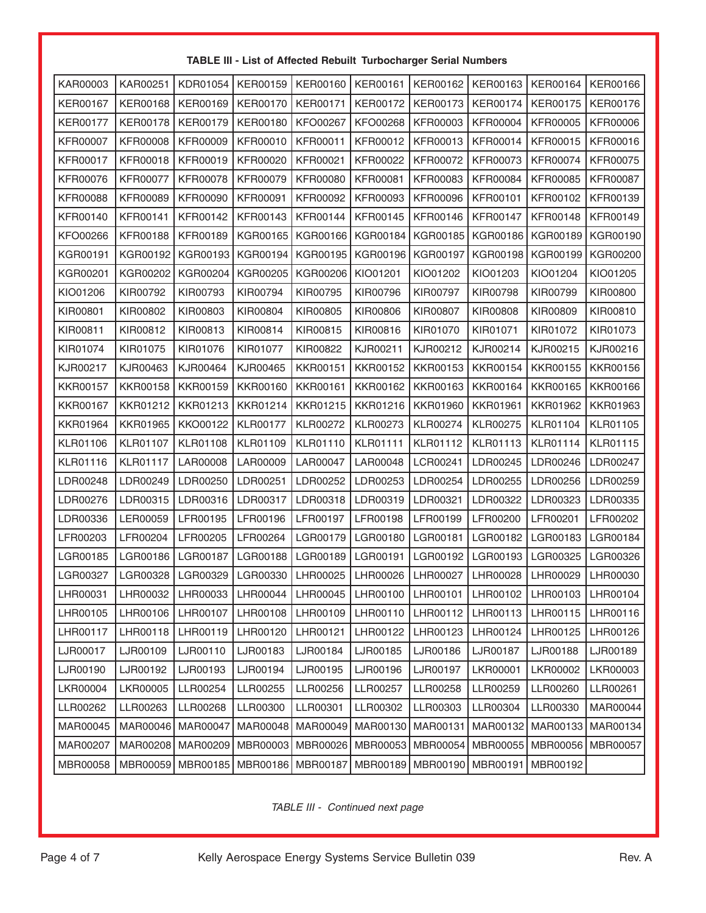| TABLE III - List of Affected Rebuilt Turbocharger Serial Numbers |  |
|------------------------------------------------------------------|--|
|------------------------------------------------------------------|--|

| KAR00003        | KAR00251        | KDR01054        | <b>KER00159</b> | <b>KER00160</b> | KER00161        | KER00162        | KER00163        | KER00164        | KER00166        |
|-----------------|-----------------|-----------------|-----------------|-----------------|-----------------|-----------------|-----------------|-----------------|-----------------|
| <b>KER00167</b> | <b>KER00168</b> | KER00169        | <b>KER00170</b> | <b>KER00171</b> | <b>KER00172</b> | <b>KER00173</b> | <b>KER00174</b> | <b>KER00175</b> | <b>KER00176</b> |
| <b>KER00177</b> | <b>KER00178</b> | <b>KER00179</b> | <b>KER00180</b> | KFO00267        | KFO00268        | KFR00003        | <b>KFR00004</b> | <b>KFR00005</b> | <b>KFR00006</b> |
| <b>KFR00007</b> | <b>KFR00008</b> | <b>KFR00009</b> | <b>KFR00010</b> | KFR00011        | KFR00012        | KFR00013        | <b>KFR00014</b> | <b>KFR00015</b> | <b>KFR00016</b> |
| <b>KFR00017</b> | <b>KFR00018</b> | KFR00019        | <b>KFR00020</b> | KFR00021        | <b>KFR00022</b> | KFR00072        | <b>KFR00073</b> | <b>KFR00074</b> | <b>KFR00075</b> |
| <b>KFR00076</b> | <b>KFR00077</b> | KFR00078        | <b>KFR00079</b> | <b>KFR00080</b> | <b>KFR00081</b> | KFR00083        | <b>KFR00084</b> | <b>KFR00085</b> | <b>KFR00087</b> |
| <b>KFR00088</b> | <b>KFR00089</b> | <b>KFR00090</b> | <b>KFR00091</b> | KFR00092        | <b>KFR00093</b> | KFR00096        | <b>KFR00101</b> | KFR00102        | <b>KFR00139</b> |
| KFR00140        | <b>KFR00141</b> | KFR00142        | <b>KFR00143</b> | KFR00144        | <b>KFR00145</b> | KFR00146        | <b>KFR00147</b> | <b>KFR00148</b> | <b>KFR00149</b> |
| KFO00266        | <b>KFR00188</b> | KFR00189        | KGR00165        | KGR00166        | KGR00184        | KGR00185        | KGR00186        | KGR00189        | KGR00190        |
| KGR00191        | KGR00192        | KGR00193        | KGR00194        | KGR00195        | KGR00196        | <b>KGR00197</b> | KGR00198        | KGR00199        | KGR00200        |
| KGR00201        | KGR00202        | KGR00204        | KGR00205        | KGR00206        | KIO01201        | KIO01202        | KIO01203        | KIO01204        | KIO01205        |
| KIO01206        | KIR00792        | KIR00793        | KIR00794        | KIR00795        | KIR00796        | KIR00797        | KIR00798        | KIR00799        | KIR00800        |
| KIR00801        | KIR00802        | KIR00803        | KIR00804        | KIR00805        | KIR00806        | KIR00807        | KIR00808        | KIR00809        | KIR00810        |
| KIR00811        | KIR00812        | KIR00813        | KIR00814        | KIR00815        | KIR00816        | KIR01070        | KIR01071        | KIR01072        | KIR01073        |
| KIR01074        | KIR01075        | KIR01076        | KIR01077        | KIR00822        | KJR00211        | KJR00212        | KJR00214        | KJR00215        | KJR00216        |
| KJR00217        | KJR00463        | KJR00464        | KJR00465        | <b>KKR00151</b> | <b>KKR00152</b> | <b>KKR00153</b> | <b>KKR00154</b> | <b>KKR00155</b> | <b>KKR00156</b> |
| <b>KKR00157</b> | <b>KKR00158</b> | <b>KKR00159</b> | <b>KKR00160</b> | <b>KKR00161</b> | KKR00162        | <b>KKR00163</b> | <b>KKR00164</b> | <b>KKR00165</b> | <b>KKR00166</b> |
| <b>KKR00167</b> | KKR01212        | KKR01213        | KKR01214        | KKR01215        | <b>KKR01216</b> | <b>KKR01960</b> | <b>KKR01961</b> | <b>KKR01962</b> | <b>KKR01963</b> |
| <b>KKR01964</b> | <b>KKR01965</b> | KKO00122        | <b>KLR00177</b> | <b>KLR00272</b> | KLR00273        | <b>KLR00274</b> | <b>KLR00275</b> | <b>KLR01104</b> | <b>KLR01105</b> |
| <b>KLR01106</b> | <b>KLR01107</b> | <b>KLR01108</b> | <b>KLR01109</b> | KLR01110        | <b>KLR01111</b> | KLR01112        | KLR01113        | <b>KLR01114</b> | <b>KLR01115</b> |
| <b>KLR01116</b> | <b>KLR01117</b> | LAR00008        | LAR00009        | LAR00047        | LAR00048        | LCR00241        | LDR00245        | LDR00246        | LDR00247        |
| LDR00248        | LDR00249        | LDR00250        | LDR00251        | LDR00252        | LDR00253        | LDR00254        | LDR00255        | LDR00256        | LDR00259        |
| LDR00276        | LDR00315        | LDR00316        | LDR00317        | LDR00318        | LDR00319        | LDR00321        | LDR00322        | LDR00323        | LDR00335        |
| LDR00336        | LER00059        | LFR00195        | LFR00196        | LFR00197        | LFR00198        | LFR00199        | LFR00200        | LFR00201        | LFR00202        |
| LFR00203        | LFR00204        | LFR00205        | LFR00264        | LGR00179        | LGR00180        | LGR00181        | LGR00182        | LGR00183        | LGR00184        |
| LGR00185        | LGR00186        | LGR00187        | LGR00188        | LGR00189        | LGR00191        | LGR00192        | LGR00193        | LGR00325        | LGR00326        |
| LGR00327        | LGR00328        | LGR00329        | LGR00330        | LHR00025        | LHR00026        | LHR00027        | LHR00028        | LHR00029        | LHR00030        |
| LHR00031        | LHR00032        | LHR00033        | LHR00044        | LHR00045        | LHR00100        | LHR00101        | LHR00102        | LHR00103        | LHR00104        |
| LHR00105        | LHR00106        | LHR00107        | LHR00108        | LHR00109        | LHR00110        | LHR00112        | LHR00113        | LHR00115        | LHR00116        |
| LHR00117        | LHR00118        | LHR00119        | LHR00120        | LHR00121        | LHR00122        | LHR00123        | LHR00124        | LHR00125        | LHR00126        |
| LJR00017        | LJR00109        | LJR00110        | LJR00183        | LJR00184        | LJR00185        | LJR00186        | LJR00187        | LJR00188        | LJR00189        |
| LJR00190        | LJR00192        | LJR00193        | LJR00194        | LJR00195        | LJR00196        | LJR00197        | LKR00001        | LKR00002        | LKR00003        |
| LKR00004        | LKR00005        | LLR00254        | LLR00255        | LLR00256        | LLR00257        | LLR00258        | LLR00259        | LLR00260        | LLR00261        |
| LLR00262        | LLR00263        | LLR00268        | LLR00300        | LLR00301        | LLR00302        | LLR00303        | LLR00304        | LLR00330        | MAR00044        |
| MAR00045        | MAR00046        | MAR00047        | MAR00048        | MAR00049        | MAR00130        | MAR00131        | MAR00132        | MAR00133        | MAR00134        |
| MAR00207        | MAR00208        | MAR00209        | MBR00003        | MBR00026        | MBR00053        | MBR00054        | MBR00055        | MBR00056        | MBR00057        |
| MBR00058        | MBR00059        | MBR00185        | MBR00186        | MBR00187        | MBR00189        | MBR00190        | MBR00191        | MBR00192        |                 |

TABLE III - Continued next page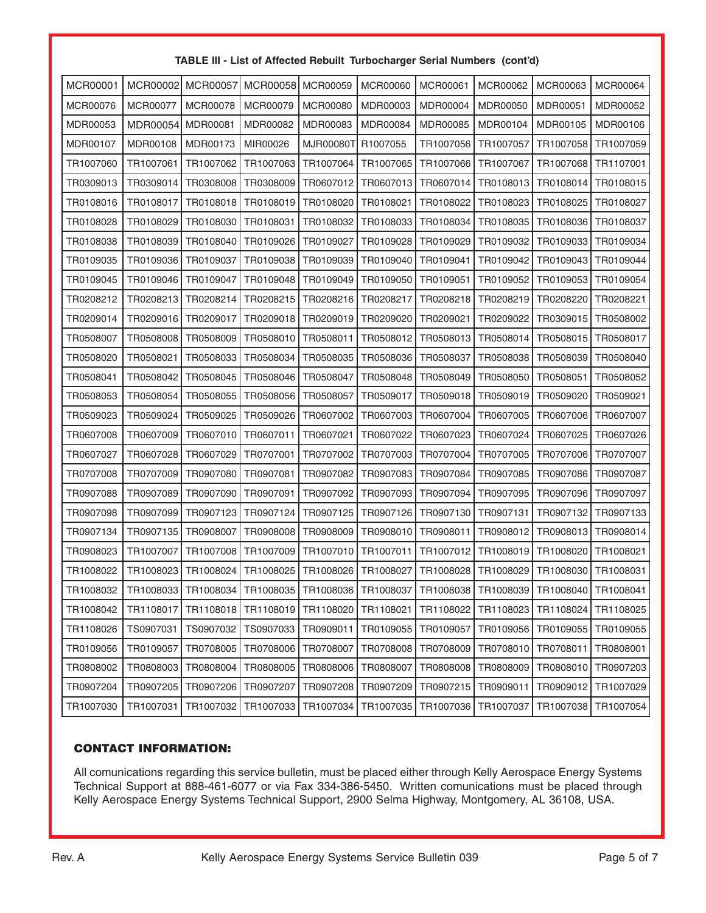#### **TABLE III - List of Affected Rebuilt Turbocharger Serial Numbers (cont'd)**

| <b>MCR00001</b> | MCR00002        | <b>MCR00057</b>     | MCR00058  | MCR00059        | <b>MCR00060</b> | <b>MCR00061</b> | MCR00062  | MCR00063              | MCR00064  |
|-----------------|-----------------|---------------------|-----------|-----------------|-----------------|-----------------|-----------|-----------------------|-----------|
| MCR00076        | <b>MCR00077</b> | MCR00078            | MCR00079  | <b>MCR00080</b> | MDR00003        | MDR00004        | MDR00050  | MDR00051              | MDR00052  |
| MDR00053        | MDR00054        | <b>MDR00081</b>     | MDR00082  | MDR00083        | MDR00084        | <b>MDR00085</b> | MDR00104  | MDR00105              | MDR00106  |
| MDR00107        | MDR00108        | MDR00173            | MIR00026  | MJR00080T       | R1007055        | TR1007056       | TR1007057 | TR1007058             | TR1007059 |
| TR1007060       | TR1007061       | TR1007062           | TR1007063 | TR1007064       | TR1007065       | TR1007066       | TR1007067 | TR1007068             | TR1107001 |
| TR0309013       | TR0309014       | TR0308008           | TR0308009 | TR0607012       | TR0607013       | TR0607014       | TR0108013 | TR0108014             | TR0108015 |
| TR0108016       | TR0108017       | TR0108018           | TR0108019 | TR0108020       | TR0108021       | TR0108022       | TR0108023 | TR0108025             | TR0108027 |
| TR0108028       | TR0108029       | TR0108030           | TR0108031 | TR0108032       | TR0108033       | TR0108034       | TR0108035 | TR0108036             | TR0108037 |
| TR0108038       | TR0108039       | TR0108040           | TR0109026 | TR0109027       | TR0109028       | TR0109029       | TR0109032 | TR0109033             | TR0109034 |
| TR0109035       | TR0109036       | TR0109037           | TR0109038 | TR0109039       | TR0109040       | TR0109041       | TR0109042 | TR0109043             | TR0109044 |
| TR0109045       | TR0109046       | TR0109047           | TR0109048 | TR0109049       | TR0109050       | TR0109051       | TR0109052 | TR0109053             | TR0109054 |
| TR0208212       | TR0208213       | TR0208214           | TR0208215 | TR0208216       | TR0208217       | TR0208218       | TR0208219 | TR0208220             | TR0208221 |
| TR0209014       | TR0209016       | TR0209017           | TR0209018 | TR0209019       | TR0209020       | TR0209021       | TR0209022 | TR0309015             | TR0508002 |
| TR0508007       | TR0508008       | TR0508009           | TR0508010 | TR0508011       | TR0508012       | TR0508013       | TR0508014 | TR0508015             | TR0508017 |
| TR0508020       | TR0508021       | TR0508033           | TR0508034 | TR0508035       | TR0508036       | TR0508037       | TR0508038 | TR0508039             | TR0508040 |
| TR0508041       | TR0508042       | TR0508045           | TR0508046 | TR0508047       | TR0508048       | TR0508049       | TR0508050 | TR0508051             | TR0508052 |
| TR0508053       | TR0508054       | TR0508055           | TR0508056 | TR0508057       | TR0509017       | TR0509018       | TR0509019 | TR0509020             | TR0509021 |
| TR0509023       | TR0509024       | TR0509025           | TR0509026 | TR0607002       | TR0607003       | TR0607004       | TR0607005 | TR0607006             | TR0607007 |
| TR0607008       | TR0607009       | TR0607010           | TR0607011 | TR0607021       | TR0607022       | TR0607023       | TR0607024 | TR0607025             | TR0607026 |
| TR0607027       | TR0607028       | TR0607029           | TR0707001 | TR0707002       | TR0707003       | TR0707004       | TR0707005 | TR0707006             | TR0707007 |
| TR0707008       | TR0707009       | TR0907080           | TR0907081 | TR0907082       | TR0907083       | TR0907084       | TR0907085 | TR0907086             | TR0907087 |
| TR0907088       | TR0907089       | TR0907090           | TR0907091 | TR0907092       | TR0907093       | TR0907094       | TR0907095 | TR0907096             | TR0907097 |
| TR0907098       | TR0907099       | TR0907123           | TR0907124 | TR0907125       | TR0907126       | TR0907130       | TR0907131 | TR0907132             | TR0907133 |
| TR0907134       | TR0907135       | TR0908007           | TR0908008 | TR0908009       | TR0908010       | TR0908011       | TR0908012 | TR0908013             | TR0908014 |
| TR0908023       | TR1007007       | TR1007008           | TR1007009 | TR1007010       | TR1007011       | TR1007012       | TR1008019 | TR1008020             | TR1008021 |
| TR1008022       | TR1008023       | TR1008024           | TR1008025 | TR1008026       | TR1008027       | TR1008028       | TR1008029 | TR1008030             | TR1008031 |
| TR1008032       |                 | TR1008033 TR1008034 | TR1008035 | TR1008036       | TR1008037       | TR1008038       | TR1008039 | TR1008040   TR1008041 |           |
| TR1008042       | TR1108017       | TR1108018           | TR1108019 | TR1108020       | TR1108021       | TR1108022       | TR1108023 | TR1108024             | TR1108025 |
| TR1108026       | TS0907031       | TS0907032           | TS0907033 | TR0909011       | TR0109055       | TR0109057       | TR0109056 | TR0109055             | TR0109055 |
| TR0109056       | TR0109057       | TR0708005           | TR0708006 | TR0708007       | TR0708008       | TR0708009       | TR0708010 | TR0708011             | TR0808001 |
| TR0808002       | TR0808003       | TR0808004           | TR0808005 | TR0808006       | TR0808007       | TR0808008       | TR0808009 | TR0808010             | TR0907203 |
| TR0907204       | TR0907205       | TR0907206           | TR0907207 | TR0907208       | TR0907209       | TR0907215       | TR0909011 | TR0909012             | TR1007029 |
| TR1007030       | TR1007031       | TR1007032           | TR1007033 | TR1007034       | TR1007035       | TR1007036       | TR1007037 | TR1007038             | TR1007054 |

#### CONTACT INFORMATION:

All comunications regarding this service bulletin, must be placed either through Kelly Aerospace Energy Systems Technical Support at 888-461-6077 or via Fax 334-386-5450. Written comunications must be placed through Kelly Aerospace Energy Systems Technical Support, 2900 Selma Highway, Montgomery, AL 36108, USA.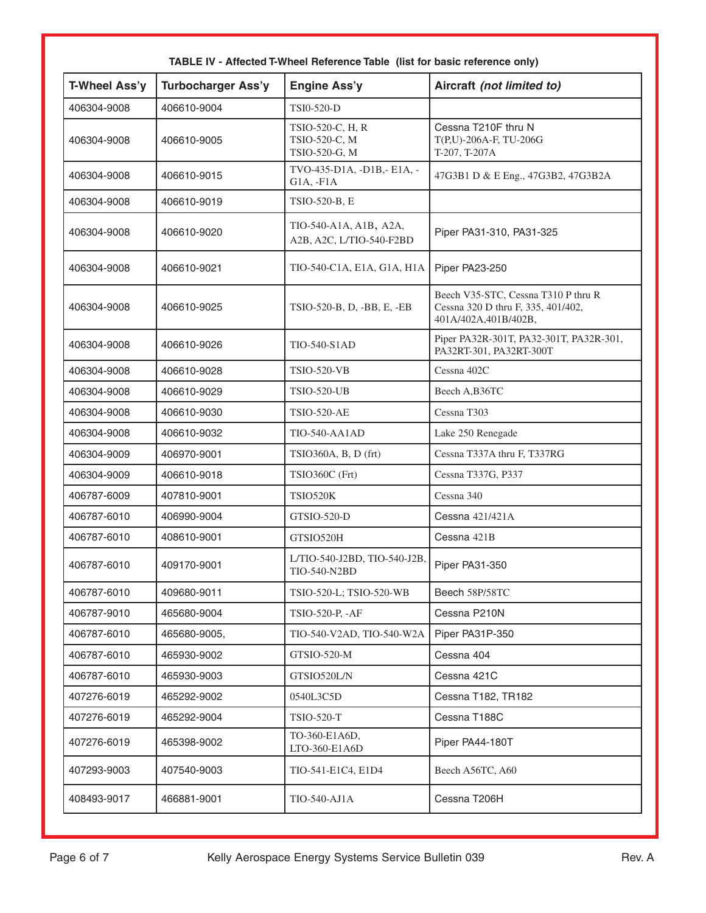| T-Wheel Ass'y | <b>Turbocharger Ass'y</b> | Engine Ass'y                                       | Aircraft (not limited to)                                                                         |
|---------------|---------------------------|----------------------------------------------------|---------------------------------------------------------------------------------------------------|
| 406304-9008   | 406610-9004               | TSI0-520-D                                         |                                                                                                   |
| 406304-9008   | 406610-9005               | TSIO-520-C, H, R<br>TSIO-520-C, M<br>TSIO-520-G, M | Cessna T210F thru N<br>T(P,U)-206A-F, TU-206G<br>T-207, T-207A                                    |
| 406304-9008   | 406610-9015               | TVO-435-D1A, -D1B,- E1A, -<br>$G1A, -F1A$          | 47G3B1 D & E Eng., 47G3B2, 47G3B2A                                                                |
| 406304-9008   | 406610-9019               | TSIO-520-B, E                                      |                                                                                                   |
| 406304-9008   | 406610-9020               | TIO-540-A1A, A1B, A2A,<br>A2B, A2C, L/TIO-540-F2BD | Piper PA31-310, PA31-325                                                                          |
| 406304-9008   | 406610-9021               | TIO-540-C1A, E1A, G1A, H1A                         | Piper PA23-250                                                                                    |
| 406304-9008   | 406610-9025               | TSIO-520-B, D, -BB, E, -EB                         | Beech V35-STC, Cessna T310 P thru R<br>Cessna 320 D thru F, 335, 401/402,<br>401A/402A,401B/402B, |
| 406304-9008   | 406610-9026               | <b>TIO-540-S1AD</b>                                | Piper PA32R-301T, PA32-301T, PA32R-301,<br>PA32RT-301, PA32RT-300T                                |
| 406304-9008   | 406610-9028               | <b>TSIO-520-VB</b>                                 | Cessna 402C                                                                                       |
| 406304-9008   | 406610-9029               | <b>TSIO-520-UB</b>                                 | Beech A,B36TC                                                                                     |
| 406304-9008   | 406610-9030               | <b>TSIO-520-AE</b>                                 | Cessna T303                                                                                       |
| 406304-9008   | 406610-9032               | <b>TIO-540-AA1AD</b>                               | Lake 250 Renegade                                                                                 |
| 406304-9009   | 406970-9001               | TSIO360A, B, D (frt)                               | Cessna T337A thru F, T337RG                                                                       |
| 406304-9009   | 406610-9018               | TSIO360C (Frt)                                     | Cessna T337G, P337                                                                                |
| 406787-6009   | 407810-9001               | <b>TSIO520K</b>                                    | Cessna 340                                                                                        |
| 406787-6010   | 406990-9004               | GTSIO-520-D                                        | Cessna 421/421A                                                                                   |
| 406787-6010   | 408610-9001               | GTSIO520H                                          | Cessna 421B                                                                                       |
| 406787-6010   | 409170-9001               | L/TIO-540-J2BD, TIO-540-J2B,<br>TIO-540-N2BD       | Piper PA31-350                                                                                    |
| 406787-6010   | 409680-9011               | TSIO-520-L; TSIO-520-WB                            | Beech 58P/58TC                                                                                    |
| 406787-9010   | 465680-9004               | TSIO-520-P, -AF                                    | Cessna P210N                                                                                      |
| 406787-6010   | 465680-9005,              | TIO-540-V2AD, TIO-540-W2A                          | Piper PA31P-350                                                                                   |
| 406787-6010   | 465930-9002               | GTSIO-520-M                                        | Cessna 404                                                                                        |
| 406787-6010   | 465930-9003               | GTSIO520L/N                                        | Cessna 421C                                                                                       |
| 407276-6019   | 465292-9002               | 0540L3C5D                                          | Cessna T182, TR182                                                                                |
| 407276-6019   | 465292-9004               | TSIO-520-T                                         | Cessna T188C                                                                                      |
| 407276-6019   | 465398-9002               | TO-360-E1A6D,<br>LTO-360-E1A6D                     | Piper PA44-180T                                                                                   |
| 407293-9003   | 407540-9003               | TIO-541-E1C4, E1D4                                 | Beech A56TC, A60                                                                                  |
| 408493-9017   | 466881-9001               | TIO-540-AJ1A                                       | Cessna T206H                                                                                      |

| TABLE IV - Affected T-Wheel Reference Table (list for basic reference only) |  |
|-----------------------------------------------------------------------------|--|
|-----------------------------------------------------------------------------|--|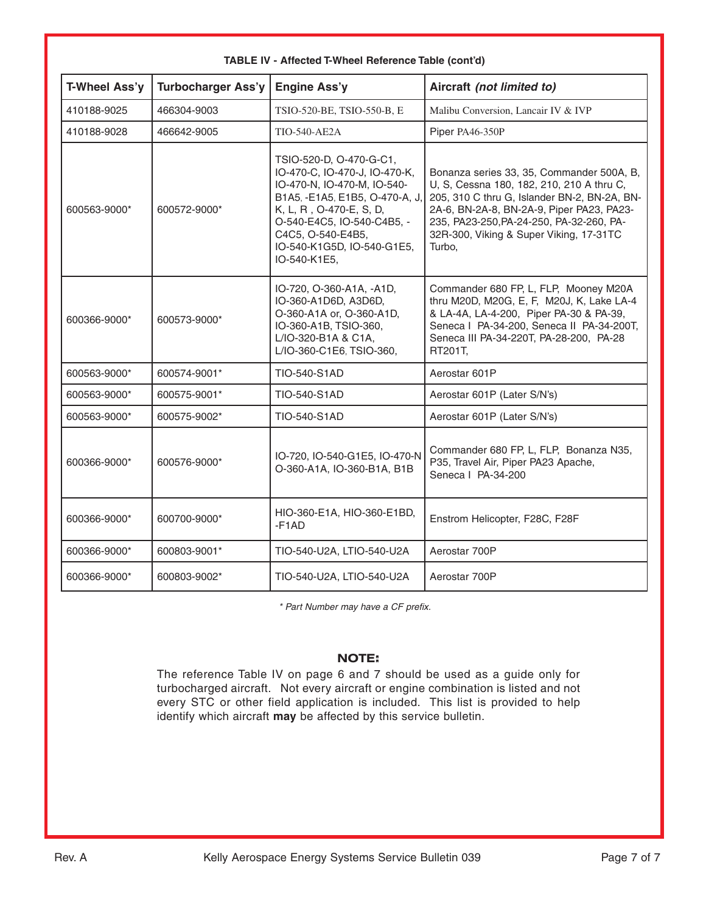| T-Wheel Ass'y | <b>Turbocharger Ass'y</b> | <b>Engine Ass'y</b>                                                                                                                                                                                                                                   | Aircraft (not limited to)                                                                                                                                                                                                                                                            |
|---------------|---------------------------|-------------------------------------------------------------------------------------------------------------------------------------------------------------------------------------------------------------------------------------------------------|--------------------------------------------------------------------------------------------------------------------------------------------------------------------------------------------------------------------------------------------------------------------------------------|
| 410188-9025   | 466304-9003               | TSIO-520-BE, TSIO-550-B, E                                                                                                                                                                                                                            | Malibu Conversion, Lancair IV & IVP                                                                                                                                                                                                                                                  |
| 410188-9028   | 466642-9005               | <b>TIO-540-AE2A</b>                                                                                                                                                                                                                                   | Piper PA46-350P                                                                                                                                                                                                                                                                      |
| 600563-9000*  | 600572-9000*              | TSIO-520-D, O-470-G-C1,<br>IO-470-C, IO-470-J, IO-470-K,<br>IO-470-N, IO-470-M, IO-540-<br>B1A5, -E1A5, E1B5, O-470-A, J,<br>K, L, R, O-470-E, S, D,<br>O-540-E4C5, IO-540-C4B5, -<br>C4C5, O-540-E4B5,<br>IO-540-K1G5D, IO-540-G1E5,<br>IO-540-K1E5, | Bonanza series 33, 35, Commander 500A, B,<br>U, S, Cessna 180, 182, 210, 210 A thru C,<br>205, 310 C thru G, Islander BN-2, BN-2A, BN-<br>2A-6, BN-2A-8, BN-2A-9, Piper PA23, PA23-<br>235, PA23-250, PA-24-250, PA-32-260, PA-<br>32R-300, Viking & Super Viking, 17-31TC<br>Turbo. |
| 600366-9000*  | 600573-9000*              | IO-720, O-360-A1A, -A1D,<br>IO-360-A1D6D, A3D6D,<br>O-360-A1A or, O-360-A1D,<br>IO-360-A1B, TSIO-360,<br>L/IO-320-B1A & C1A,<br>L/IO-360-C1E6, TSIO-360,                                                                                              | Commander 680 FP, L, FLP, Mooney M20A<br>thru M20D, M20G, E, F, M20J, K, Lake LA-4<br>& LA-4A, LA-4-200, Piper PA-30 & PA-39,<br>Seneca   PA-34-200, Seneca   PA-34-200T,<br>Seneca III PA-34-220T, PA-28-200, PA-28<br>RT201T,                                                      |
| 600563-9000*  | 600574-9001*              | TIO-540-S1AD                                                                                                                                                                                                                                          | Aerostar 601P                                                                                                                                                                                                                                                                        |
| 600563-9000*  | 600575-9001*              | TIO-540-S1AD                                                                                                                                                                                                                                          | Aerostar 601P (Later S/N's)                                                                                                                                                                                                                                                          |
| 600563-9000*  | 600575-9002*              | TIO-540-S1AD                                                                                                                                                                                                                                          | Aerostar 601P (Later S/N's)                                                                                                                                                                                                                                                          |
| 600366-9000*  | 600576-9000*              | IO-720, IO-540-G1E5, IO-470-N<br>O-360-A1A, IO-360-B1A, B1B                                                                                                                                                                                           | Commander 680 FP, L, FLP, Bonanza N35,<br>P35, Travel Air, Piper PA23 Apache,<br>Seneca   PA-34-200                                                                                                                                                                                  |
| 600366-9000*  | 600700-9000*              | HIO-360-E1A, HIO-360-E1BD,<br>-F <sub>1</sub> AD                                                                                                                                                                                                      | Enstrom Helicopter, F28C, F28F                                                                                                                                                                                                                                                       |
| 600366-9000*  | 600803-9001*              | TIO-540-U2A, LTIO-540-U2A                                                                                                                                                                                                                             | Aerostar 700P                                                                                                                                                                                                                                                                        |
| 600366-9000*  | 600803-9002*              | TIO-540-U2A, LTIO-540-U2A                                                                                                                                                                                                                             | Aerostar 700P                                                                                                                                                                                                                                                                        |

#### **TABLE IV - Affected T-Wheel Reference Table (cont'd)**

\* Part Number may have a CF prefix.

#### **NOTE:**

The reference Table IV on page 6 and 7 should be used as a guide only for turbocharged aircraft. Not every aircraft or engine combination is listed and not every STC or other field application is included. This list is provided to help identify which aircraft **may** be affected by this service bulletin.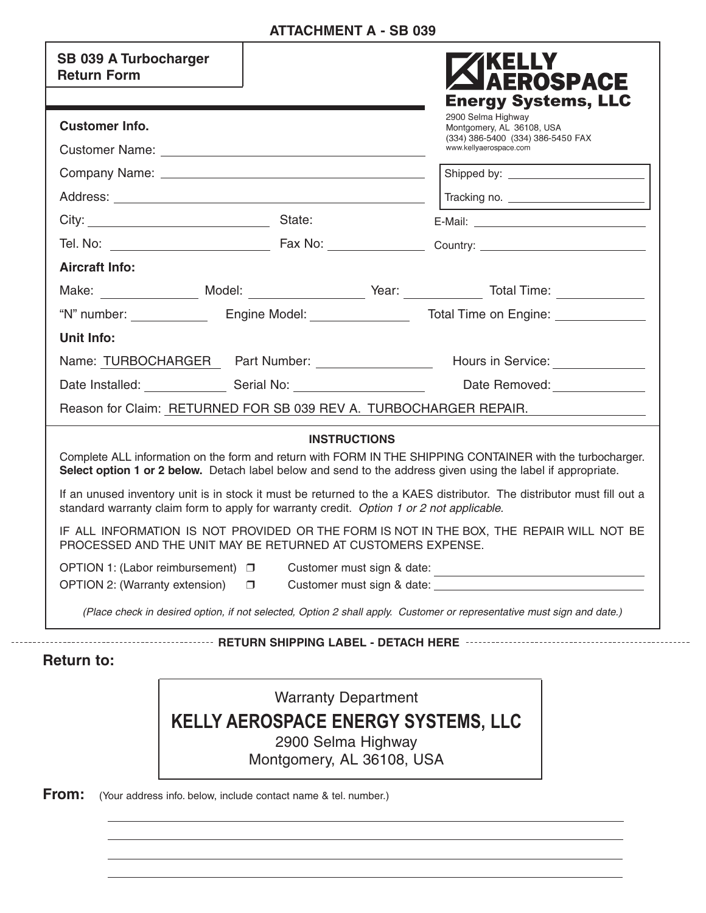# **ATTACHMENT A - SB 039**

| <b>SB 039 A Turbocharger</b><br><b>Return Form</b>                                                                     |                     | <b>AEROSPACE</b><br><b>Energy Systems, LLC</b>                                                                                                                                                                             |
|------------------------------------------------------------------------------------------------------------------------|---------------------|----------------------------------------------------------------------------------------------------------------------------------------------------------------------------------------------------------------------------|
| <b>Customer Info.</b>                                                                                                  |                     | 2900 Selma Highway<br>Montgomery, AL 36108, USA                                                                                                                                                                            |
|                                                                                                                        |                     | (334) 386-5400 (334) 386-5450 FAX<br>www.kellyaerospace.com                                                                                                                                                                |
|                                                                                                                        |                     |                                                                                                                                                                                                                            |
|                                                                                                                        |                     |                                                                                                                                                                                                                            |
| City: State:                                                                                                           |                     |                                                                                                                                                                                                                            |
|                                                                                                                        |                     |                                                                                                                                                                                                                            |
| <b>Aircraft Info:</b>                                                                                                  |                     |                                                                                                                                                                                                                            |
|                                                                                                                        |                     | Make: _________________ Model: _____________________ Year: ______________ Total Time: ______________                                                                                                                       |
|                                                                                                                        |                     |                                                                                                                                                                                                                            |
| Unit Info:                                                                                                             |                     |                                                                                                                                                                                                                            |
|                                                                                                                        |                     | Name: TURBOCHARGER Part Number: ___________________ Hours in Service: __________                                                                                                                                           |
|                                                                                                                        |                     | Date Installed: Serial No: Serial No: Date Removed: Case 19, 2014                                                                                                                                                          |
| Reason for Claim: RETURNED FOR SB 039 REV A. TURBOCHARGER REPAIR.                                                      |                     |                                                                                                                                                                                                                            |
|                                                                                                                        | <b>INSTRUCTIONS</b> |                                                                                                                                                                                                                            |
|                                                                                                                        |                     | Complete ALL information on the form and return with FORM IN THE SHIPPING CONTAINER with the turbocharger.<br>Select option 1 or 2 below. Detach label below and send to the address given using the label if appropriate. |
| standard warranty claim form to apply for warranty credit. Option 1 or 2 not applicable.                               |                     | If an unused inventory unit is in stock it must be returned to the a KAES distributor. The distributor must fill out a                                                                                                     |
| PROCESSED AND THE UNIT MAY BE RETURNED AT CUSTOMERS EXPENSE.                                                           |                     | IF ALL INFORMATION IS NOT PROVIDED OR THE FORM IS NOT IN THE BOX, THE REPAIR WILL NOT BE                                                                                                                                   |
| OPTION 1: (Labor reimbursement)<br>$\Box$                                                                              |                     |                                                                                                                                                                                                                            |
| OPTION 2: (Warranty extension)<br>$\Box$                                                                               |                     |                                                                                                                                                                                                                            |
| (Place check in desired option, if not selected, Option 2 shall apply. Customer or representative must sign and date.) |                     |                                                                                                                                                                                                                            |

**Return to:**

Warranty Department **KELLY AEROSPACE ENERGY SYSTEMS, LLC** 2900 Selma Highway Montgomery, AL 36108, USA

**From:** (Your address info. below, include contact name & tel. number.)